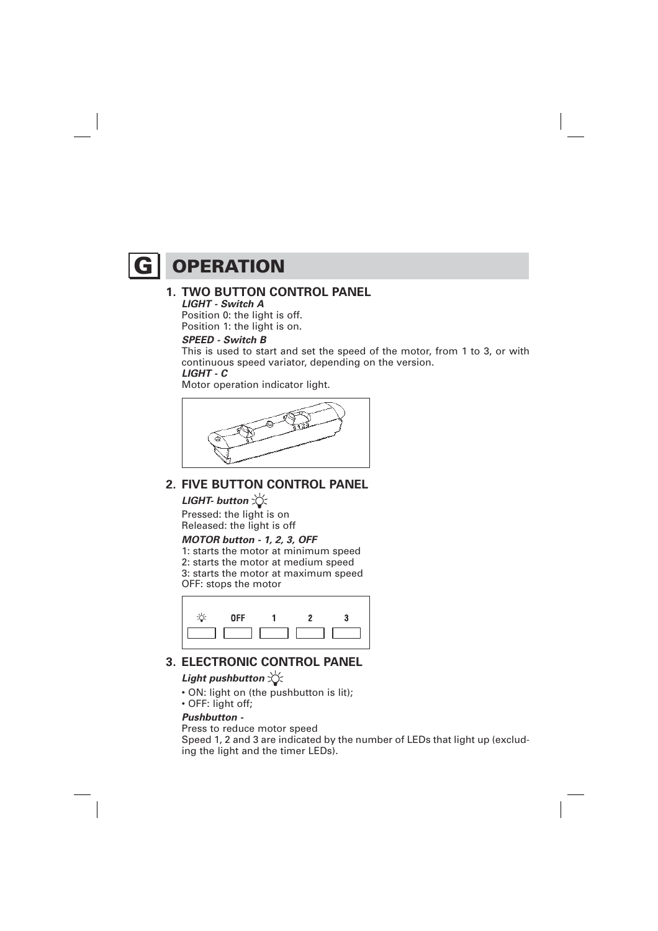# **G** OPERATION

#### **1. TWO BUTTON CONTROL PANEL LIGHT - Switch A**

Position 0: the light is off. Position 1: the light is on.

#### **SPEED - Switch B**

This is used to start and set the speed of the motor, from 1 to 3, or with continuous speed variator, depending on the version.  **LIGHT - C** 

Motor operation indicator light.



## **2. FIVE BUTTON CONTROL PANEL**

## **LIGHT- button**

Pressed: the light is on Released: the light is off

## **MOTOR button - 1, 2, 3, OFF**

1: starts the motor at minimum speed 2: starts the motor at medium speed 3: starts the motor at maximum speed OFF: stops the motor



# **3. ELECTRONIC CONTROL PANEL**

## **Light pushbutton**  $\forall$

- ON: light on (the pushbutton is lit);
- OFF: light off;

#### **Pushbutton -**

Press to reduce motor speed

Speed 1, 2 and 3 are indicated by the number of LEDs that light up (excluding the light and the timer LEDs).